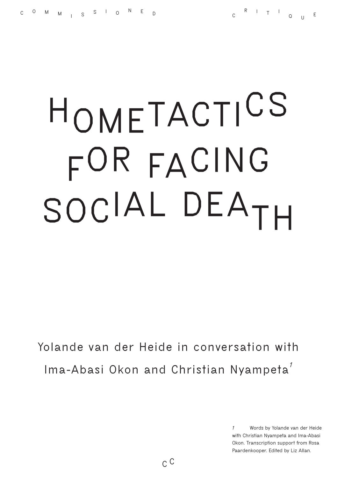## **HOMETACTICS FOR FACING SOCIAL DEATH**

**Yolande van der Heide in conversation with Ima-Abasi Okon and Christian Nyampeta***<sup>1</sup>*

> *1* **Words by Yolande van der Heide with Christian Nyampeta and Ima-Abasi Okon. Transcription support from Rosa Paardenkooper. Edited by Liz Allan.**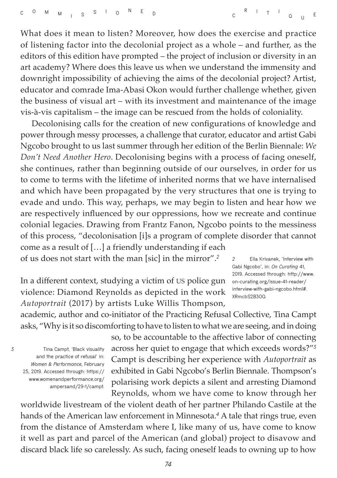What does it mean to listen? Moreover, how does the exercise and practice of listening factor into the decolonial project as a whole – and further, as the editors of this edition have prompted – the project of inclusion or diversity in an art academy? Where does this leave us when we understand the immensity and downright impossibility of achieving the aims of the decolonial project? Artist, educator and comrade Ima-Abasi Okon would further challenge whether, given the business of visual art – with its investment and maintenance of the image vis-à-vis capitalism – the image can be rescued from the holds of coloniality.

Decolonising calls for the creation of new configurations of knowledge and power through messy processes, a challenge that curator, educator and artist Gabi Ngcobo brought to us last summer through her edition of the Berlin Biennale: *We Don't Need Another Hero*. Decolonising begins with a process of facing oneself, she continues, rather than beginning outside of our ourselves, in order for us to come to terms with the lifetime of inherited norms that we have internalised and which have been propagated by the very structures that one is trying to evade and undo. This way, perhaps, we may begin to listen and hear how we are respectively influenced by our oppressions, how we recreate and continue colonial legacies. Drawing from Frantz Fanon, Ngcobo points to the messiness of this process, "decolonisation [i]s a program of complete disorder that cannot come as a result of […] a friendly understanding if each

of us does not start with the man [sic] in the mirror".*<sup>2</sup>*

In a different context, studying a victim of US police gun violence: Diamond Reynolds as depicted in the work *Autoportrait* (2017) by artists Luke Willis Thompson,

*2* **Ella Krivanek, 'Interview with Gabi Ngcobo', in:** *On Curating* **41, 2019. Accessed through: [http://www.](http://www.on-curating.org/issue-41-reader/interview-with-gabi-ngcobo.html#) [on-curating.org/issue-41-reader/](http://www.on-curating.org/issue-41-reader/interview-with-gabi-ngcobo.html#) [interview-with-gabi-ngcobo.html#.](http://www.on-curating.org/issue-41-reader/interview-with-gabi-ngcobo.html#) XRmcbS2B3OQ.**

academic, author and co-initiator of the Practicing Refusal Collective, Tina Campt asks, "Why is it so discomforting to have to listen to what we are seeing, and in doing

*3* **Tina Campt, 'Black visuality and the practice of refusal' in:**  *Women & Performance***, February 25, 2019. Accessed through: [https://](https://www.womenandperformance.org/ampersand/29-1/campt) [www.womenandperformance.org/](https://www.womenandperformance.org/ampersand/29-1/campt) [ampersand/29-1/campt.](https://www.womenandperformance.org/ampersand/29-1/campt)** so, to be accountable to the affective labor of connecting across her quiet to engage that which exceeds words?"*<sup>3</sup>* Campt is describing her experience with *Autoportrait* as exhibited in Gabi Ngcobo's Berlin Biennale. Thompson's polarising work depicts a silent and arresting Diamond Reynolds, whom we have come to know through her

worldwide livestream of the violent death of her partner Philando Castile at the hands of the American law enforcement in Minnesota.*<sup>4</sup>* A tale that rings true, even from the distance of Amsterdam where I, like many of us, have come to know it well as part and parcel of the American (and global) project to disavow and discard black life so carelessly. As such, facing oneself leads to owning up to how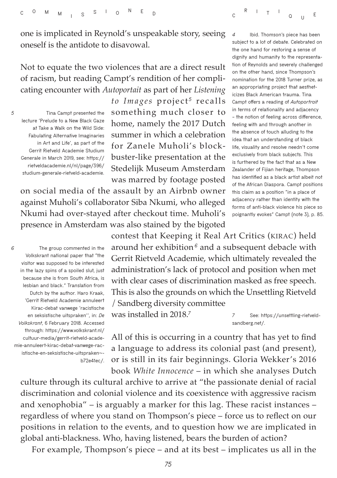**subject to a lot of debate. Celebrated on the one hand for restoring a sense of**  one is implicated in Reynold's unspeakable story, seeing oneself is the antidote to disavowal.

Not to equate the two violences that are a direct result of racism, but reading Campt's rendition of her complicating encounter with *Autoportait* as part of her *Listening* 

*5* **Tina Campt presented the lecture 'Prelude to a New Black Gaze at Take a Walk on the Wild Side: Fabulating Alternative Imaginaries in Art and Life', as part of the Gerrit Rietveld Academie Studium Generale in March 2019, see: https:// rietveldacademie.nl/nl/page/396/ studium-generale-rietveld-academie.** *to Images* project<sup>5</sup> recalls something much closer to home, namely the 2017 Dutch summer in which a celebration for Zanele Muholi's blockbuster-like presentation at the Stedelijk Museum Amsterdam was marred by footage posted

on social media of the assault by an Airbnb owner against Muholi's collaborator Siba Nkumi, who alleged Nkumi had over-stayed after checkout time. Muholi's presence in Amsterdam was also stained by the bigoted

*6* **The group commented in the Volkskrant national paper that "the visitor was supposed to be interested in the lazy spins of a spoiled slut, just because she is from South Africa, is lesbian and black." Translation from Dutch by the author. Haro Kraak, 'Gerrit Rietveld Academie annuleert Kirac-debat vanwege 'racistische en seksistische uitspraken'', in:** *De Volkskrant***, 6 February 2018. Accessed through: [https://www.volkskrant.nl/](https://www.volkskrant.nl/cultuur-media/gerrit-rietveld-academie-annuleert-kirac-debat-vanwege-racis) [cultuur-media/gerrit-rietveld-acade](https://www.volkskrant.nl/cultuur-media/gerrit-rietveld-academie-annuleert-kirac-debat-vanwege-racis)[mie-annuleert-kirac-debat-vanwege-rac](https://www.volkskrant.nl/cultuur-media/gerrit-rietveld-academie-annuleert-kirac-debat-vanwege-racis)[istische-en-seksistische-uitspraken~](https://www.volkskrant.nl/cultuur-media/gerrit-rietveld-academie-annuleert-kirac-debat-vanwege-racis) [b72e41ec/.](https://www.volkskrant.nl/cultuur-media/gerrit-rietveld-academie-annuleert-kirac-debat-vanwege-racis)** contest that Keeping it Real Art Critics (KIRAC) held around her exhibition *<sup>6</sup>* and a subsequent debacle with Gerrit Rietveld Academie, which ultimately revealed the administration's lack of protocol and position when met with clear cases of discrimination masked as free speech. This is also the grounds on which the Unsettling Rietveld / Sandberg diversity committee

was installed in 2018.*<sup>7</sup>*

*7* **See: [https://unsettling-rietveld](https://unsettling-rietveldsandberg.net/)[sandberg.net/](https://unsettling-rietveldsandberg.net/).**

**<sup>R</sup> <sup>I</sup> <sup>T</sup> <sup>I</sup>**

**<sup>Q</sup> <sup>U</sup> <sup>E</sup>**

*4* **Ibid. Thomson's piece has been** 

**dignity and humanity to the representation of Reynolds and severely challenged on the other hand, since Thompson's nomination for the 2018 Turner prize, as an appropriating project that aestheticizes Black American trauma. Tina Campt offers a reading of** *Autoportrait* **in terms of relationality and adjacency – the notion of feeling across difference, feeling with and through another in the absence of touch alluding to the idea that an understanding of black life, visuality and resolve needn't come exclusively from black subjects. This is furthered by the fact that as a New Zealander of Fijian heritage, Thompson has identified as a black artist albeit not of the African Diaspora. Campt positions this claim as a position "in a place of adjacency rather than identity with the forms of anti-black violence his piece so poignantly evokes" Campt (note 3), p. 85.**

All of this is occurring in a country that has yet to find a language to address its colonial past (and present), or is still in its fair beginnings. Gloria Wekker's 2016 book *White Innocence* – in which she analyses Dutch

culture through its cultural archive to arrive at "the passionate denial of racial discrimination and colonial violence and its coexistence with aggressive racism and xenophobia" – is arguably a marker for this lag. These racist instances – regardless of where you stand on Thompson's piece – force us to reflect on our positions in relation to the events, and to question how we are implicated in global anti-blackness. Who, having listened, bears the burden of action?

For example, Thompson's piece – and at its best – implicates us all in the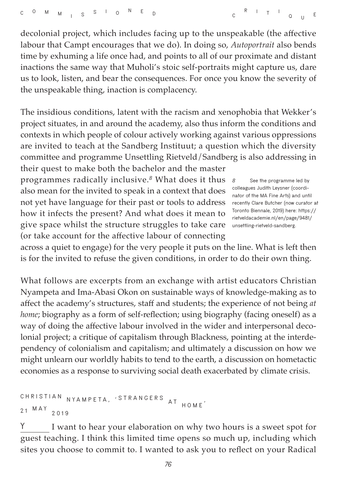decolonial project, which includes facing up to the unspeakable (the affective labour that Campt encourages that we do). In doing so, *Autoportrait* also bends time by exhuming a life once had, and points to all of our proximate and distant inactions the same way that Muholi's stoic self-portraits might capture us, dare us to look, listen, and bear the consequences. For once you know the severity of the unspeakable thing, inaction is complacency.

The insidious conditions, latent with the racism and xenophobia that Wekker's project situates, in and around the academy, also thus inform the conditions and contexts in which people of colour actively working against various oppressions are invited to teach at the Sandberg Instituut; a question which the diversity committee and programme Unsettling Rietveld/Sandberg is also addressing in their quest to make both the bachelor and the master

programmes radically inclusive.*<sup>8</sup>* What does it thus also mean for the invited to speak in a context that does not yet have language for their past or tools to address how it infects the present? And what does it mean to give space whilst the structure struggles to take care (or take account for the affective labour of connecting

*8* **See the programme led by colleagues Judith Leysner (coordinator of the MA Fine Arts) and until recently Clare Butcher (now curator at Toronto Biennale, 2019) here: [https://](https://rietveldacademie.nl/en/page/9481/unsettling-rietveld-sandberg) [rietveldacademie.nl/en/page/9481/](https://rietveldacademie.nl/en/page/9481/unsettling-rietveld-sandberg) [unsettling-rietveld-sandberg.](https://rietveldacademie.nl/en/page/9481/unsettling-rietveld-sandberg)**

across a quiet to engage) for the very people it puts on the line. What is left then is for the invited to refuse the given conditions, in order to do their own thing.

What follows are excerpts from an exchange with artist educators Christian Nyampeta and Ima-Abasi Okon on sustainable ways of knowledge-making as to affect the academy's structures, staff and students; the experience of not being *at home*; biography as a form of self-reflection; using biography (facing oneself) as a way of doing the affective labour involved in the wider and interpersonal decolonial project; a critique of capitalism through Blackness, pointing at the interdependency of colonialism and capitalism; and ultimately a discussion on how we might unlearn our worldly habits to tend to the earth, a discussion on hometactic economies as a response to surviving social death exacerbated by climate crisis.

```
CHRISTIAN NYAMPETA, ' STRANGERS A T HOME '
21MAY
2019
```
**Y** I want to hear your elaboration on why two hours is a sweet spot for guest teaching. I think this limited time opens so much up, including which sites you choose to commit to. I wanted to ask you to reflect on your Radical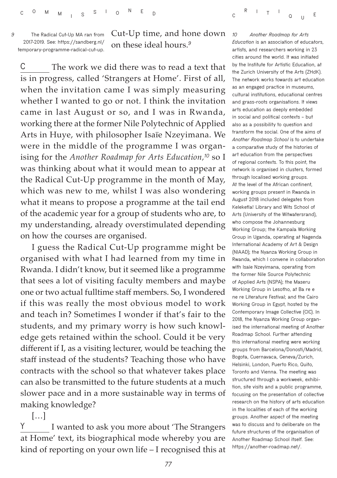*9* **The Radical Cut-Up MA ran from 2017-2019. See: [https://sandberg.nl/](https://sandberg.nl/temporary-programme-radical-cut-up) [temporary-programme-radical-cut-up.](https://sandberg.nl/temporary-programme-radical-cut-up)**

Cut-Up time, and hone down on these ideal hours.*<sup>9</sup>*

**C** The work we did there was to read a text that is in progress, called 'Strangers at Home'. First of all, when the invitation came I was simply measuring whether I wanted to go or not. I think the invitation came in last August or so, and I was in Rwanda, working there at the former Nile Polytechnic of Applied Arts in Huye, with philosopher Isaïe Nzeyimana. We were in the middle of the programme I was organising for the *Another Roadmap for Arts Education,<sup>10</sup>* so I was thinking about what it would mean to appear at the Radical Cut-Up programme in the month of May, which was new to me, whilst I was also wondering what it means to propose a programme at the tail end of the academic year for a group of students who are, to my understanding, already overstimulated depending on how the courses are organised.

I guess the Radical Cut-Up programme might be organised with what I had learned from my time in Rwanda. I didn't know, but it seemed like a programme that sees a lot of visiting faculty members and maybe one or two actual fulltime staff members. So, I wondered if this was really the most obvious model to work and teach in? Sometimes I wonder if that's fair to the students, and my primary worry is how such knowledge gets retained within the school. Could it be very different if I, as a visiting lecturer, would be teaching the staff instead of the students? Teaching those who have contracts with the school so that whatever takes place can also be transmitted to the future students at a much slower pace and in a more sustainable way in terms of making knowledge?

**Y** I wanted to ask you more about 'The Strangers at Home' text, its biographical mode whereby you are kind of reporting on your own life – I recognised this at

[…]

*10 Another Roadmap for Arts Education* **is an association of educators, artists, and researchers working in 23 cities around the world. It was initiated by the Institute for Artistic Education, at the Zurich University of the Arts (ZHdK). The network works towards art education as an engaged practice in museums, cultural institutions, educational centres and grass-roots organisations. It views arts education as deeply embedded in social and political contexts – but also as a possibility to question and transform the social. One of the aims of**  *Another Roadmap School* **is to undertake a comparative study of the histories of art education from the perspectives of regional contexts. To this point, the network is organised in clusters, formed through localised working groups. At the level of the African continent, working groups present in Rwanda in August 2018 included delegates from Keleketla! Library and Wits School of Arts (University of the Witwatersrand), who compose the Johannesburg Working Group; the Kampala Working Group in Uganda, operating at Nagenda International Academy of Art & Design (NIAAD); the Nyanza Working Group in Rwanda, which I convene in collaboration with Isaïe Nzeyimana, operating from the former Nile Source Polytechnic of Applied Arts (NSPA); the Maseru Working Group in Lesotho, at Ba re e ne re Literature Festival; and the Cairo Working Group in Egypt, hosted by the Contemporary Image Collective (CIC). In 2018, the Nyanza Working Group organised the international meeting of Another Roadmap School. Further attending this international meeting were working groups from Barcelona/Donosti/Madrid, Bogota, Cuernavaca, Geneva/Zurich, Helsinki, London, Puerto Rico, Quito, Toronto and Vienna. The meeting was structured through a workweek, exhibition, site visits and a public programme, focusing on the presentation of collective research on the history of arts education in the localities of each of the working groups. Another aspect of the meeting was to discuss and to deliberate on the future structures of the organisation of Another Roadmap School itself. See: <https://another-roadmap.net/>.**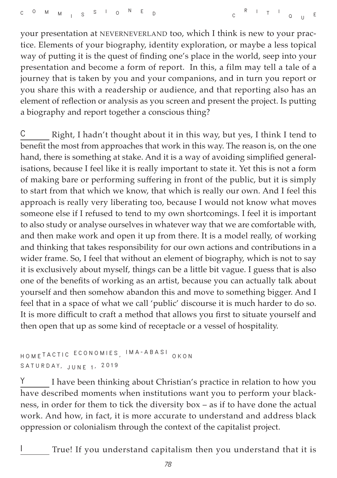your presentation at NEVERNEVERLAND too, which I think is new to your practice. Elements of your biography, identity exploration, or maybe a less topical way of putting it is the quest of finding one's place in the world, seep into your presentation and become a form of report. In this, a film may tell a tale of a journey that is taken by you and your companions, and in turn you report or you share this with a readership or audience, and that reporting also has an element of reflection or analysis as you screen and present the project. Is putting a biography and report together a conscious thing?

**C** Right, I hadn't thought about it in this way, but yes, I think I tend to benefit the most from approaches that work in this way. The reason is, on the one hand, there is something at stake. And it is a way of avoiding simplified generalisations, because I feel like it is really important to state it. Yet this is not a form of making bare or performing suffering in front of the public, but it is simply to start from that which we know, that which is really our own. And I feel this approach is really very liberating too, because I would not know what moves someone else if I refused to tend to my own shortcomings. I feel it is important to also study or analyse ourselves in whatever way that we are comfortable with, and then make work and open it up from there. It is a model really, of working and thinking that takes responsibility for our own actions and contributions in a wider frame. So, I feel that without an element of biography, which is not to say it is exclusively about myself, things can be a little bit vague. I guess that is also one of the benefits of working as an artist, because you can actually talk about yourself and then somehow abandon this and move to something bigger. And I feel that in a space of what we call 'public' discourse it is much harder to do so. It is more difficult to craft a method that allows you first to situate yourself and then open that up as some kind of receptacle or a vessel of hospitality.

## **HOME TACTIC ECONOMIES , IMA-ABASI OKON SATURDAY, JUNE 1 , 2019**

**Y** I have been thinking about Christian's practice in relation to how you have described moments when institutions want you to perform your blackness, in order for them to tick the diversity box – as if to have done the actual work. And how, in fact, it is more accurate to understand and address black oppression or colonialism through the context of the capitalist project.

**I** True! If you understand capitalism then you understand that it is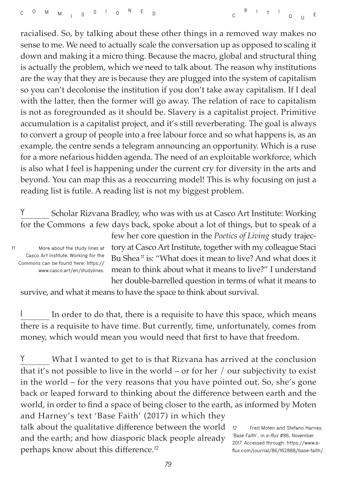racialised. So, by talking about these other things in a removed way makes no sense to me. We need to actually scale the conversation up as opposed to scaling it down and making it a micro thing. Because the macro, global and structural thing is actually the problem, which we need to talk about. The reason why institutions are the way that they are is because they are plugged into the system of capitalism so you can't decolonise the institution if you don't take away capitalism. If I deal with the latter, then the former will go away. The relation of race to capitalism is not as foregrounded as it should be. Slavery is a capitalist project. Primitive accumulation is a capitalist project, and it's still reverberating. The goal is always to convert a group of people into a free labour force and so what happens is, as an example, the centre sends a telegram announcing an opportunity. Which is a ruse for a more nefarious hidden agenda. The need of an exploitable workforce, which is also what I feel is happening under the current cry for diversity in the arts and beyond. You can map this as a reoccurring model! This is why focusing on just a reading list is futile. A reading list is not my biggest problem.

**Y** Scholar Rizvana Bradley, who was with us at Casco Art Institute: Working for the Commons a few days back, spoke about a lot of things, but to speak of a

*11* **More about the study lines at Casco Art Institute: Working for the Commons can be found here: [https://](https://www.casco.art/en/studylines) [www.casco.art/en/studylines.](https://www.casco.art/en/studylines)** few her core question in the *Poetics of Living* study trajectory at Casco Art Institute, together with my colleague Staci Bu Shea*<sup>11</sup>* is: "What does it mean to live? And what does it mean to think about what it means to live?" I understand her double-barrelled question in terms of what it means to

survive, and what it means to have the space to think about survival.

In order to do that, there is a requisite to have this space, which means there is a requisite to have time. But currently, time, unfortunately, comes from money, which would mean you would need that first to have that freedom.

**Y** What I wanted to get to is that Rizvana has arrived at the conclusion that it's not possible to live in the world – or for her / our subjectivity to exist in the world – for the very reasons that you have pointed out. So, she's gone back or leaped forward to thinking about the difference between earth and the world, in order to find a space of being closer to the earth, as informed by Moten and Harney's text 'Base Faith' (2017) in which they talk about the qualitative difference between the world and the earth; and how diasporic black people already perhaps know about this difference.*<sup>12</sup> 12* **Fred Moten and Stefano Harney, 'Base Faith', in** *e-flux* **#86, November 2017. Accessed through: [https://www.e](https://www.e-flux.com/journal/86/162888/base-faith/)[flux.com/journal/86/162888/base-faith/.](https://www.e-flux.com/journal/86/162888/base-faith/)**

*79*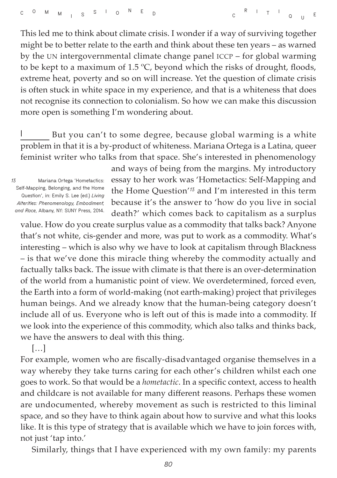This led me to think about climate crisis. I wonder if a way of surviving together might be to better relate to the earth and think about these ten years – as warned by the UN intergovernmental climate change panel ICCP – for global warming to be kept to a maximum of 1.5 ºC, beyond which the risks of drought, floods, extreme heat, poverty and so on will increase. Yet the question of climate crisis is often stuck in white space in my experience, and that is a whiteness that does not recognise its connection to colonialism. So how we can make this discussion more open is something I'm wondering about.

**I** But you can't to some degree, because global warming is a white problem in that it is a by-product of whiteness. Mariana Ortega is a Latina, queer feminist writer who talks from that space. She's interested in phenomenology

*13* **Mariana Ortega 'Hometactics: Self-Mapping, Belonging, and the Home Question', in: Emily S. Lee (ed.)** *Living Alterities: Phenomenology, Embodiment, and Race***, Albany, NY: SUNY Press, 2014.** 

and ways of being from the margins. My introductory essay to her work was 'Hometactics: Self-Mapping and the Home Question'*<sup>13</sup>* and I'm interested in this term because it's the answer to 'how do you live in social death?' which comes back to capitalism as a surplus

value. How do you create surplus value as a commodity that talks back? Anyone that's not white, cis-gender and more, was put to work as a commodity. What's interesting – which is also why we have to look at capitalism through Blackness – is that we've done this miracle thing whereby the commodity actually and factually talks back. The issue with climate is that there is an over-determination of the world from a humanistic point of view. We overdetermined, forced even, the Earth into a form of world-making (not earth-making) project that privileges human beings. And we already know that the human-being category doesn't include all of us. Everyone who is left out of this is made into a commodity. If we look into the experience of this commodity, which also talks and thinks back, we have the answers to deal with this thing.

[…]

For example, women who are fiscally-disadvantaged organise themselves in a way whereby they take turns caring for each other's children whilst each one goes to work. So that would be a *hometactic*. In a specific context, access to health and childcare is not available for many different reasons. Perhaps these women are undocumented, whereby movement as such is restricted to this liminal space, and so they have to think again about how to survive and what this looks like. It is this type of strategy that is available which we have to join forces with, not just 'tap into.'

Similarly, things that I have experienced with my own family: my parents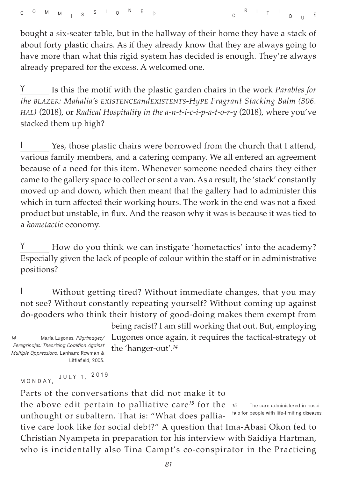bought a six-seater table, but in the hallway of their home they have a stack of about forty plastic chairs. As if they already know that they are always going to have more than what this rigid system has decided is enough. They're always already prepared for the excess. A welcomed one.

**Y** Is this the motif with the plastic garden chairs in the work *Parables for the BLAZER: Mahalia's EXISTENCEandEXISTENTS-HyPE Fragrant Stacking Balm (306. HAL)* (2018), or *Radical Hospitality in the a-n-t-i-c-i-p-a-t-o-r-y* (2018), where you've stacked them up high?

**I** Yes, those plastic chairs were borrowed from the church that I attend, various family members, and a catering company. We all entered an agreement because of a need for this item. Whenever someone needed chairs they either came to the gallery space to collect or sent a van. As a result, the 'stack' constantly moved up and down, which then meant that the gallery had to administer this which in turn affected their working hours. The work in the end was not a fixed product but unstable, in flux. And the reason why it was is because it was tied to a *hometactic* economy.

**Y** How do you think we can instigate 'hometactics' into the academy? Especially given the lack of people of colour within the staff or in administrative positions?

**I** Without getting tired? Without immediate changes, that you may not see? Without constantly repeating yourself? Without coming up against do-gooders who think their history of good-doing makes them exempt from

*14* **María Lugones,** *Pilgrimages/ Peregrinajes: Theorizing Coalition Against Multiple Oppressions***, Lanham: Rowman & Littlefield, 2003.** 

being racist? I am still working that out. But, employing Lugones once again, it requires the tactical-strategy of the 'hanger-out'.*<sup>14</sup>*

**MONDAY, JULY 1, <sup>2019</sup>**

Parts of the conversations that did not make it to

the above edit pertain to palliative care*<sup>15</sup>* for the unthought or subaltern. That is: "What does palliative care look like for social debt?" A question that Ima-Abasi Okon fed to Christian Nyampeta in preparation for his interview with Saidiya Hartman, who is incidentally also Tina Campt's co-conspirator in the Practicing *15* **The care administered in hospitals for people with life-limiting diseases.**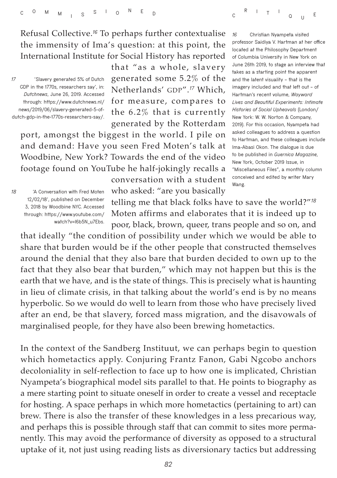Refusal Collective.*<sup>16</sup>* To perhaps further contextualise the immensity of Ima's question: at this point, the International Institute for Social History has reported

*17* **'Slavery generated 5% of Dutch GDP in the 1770s, researchers say', in:**  *Dutchnews***, June 26, 2019. Accessed through: [https://www.dutchnews.nl/](https://www.dutchnews.nl/news/2019/06/slavery-generated-5-of-dutch-gdp-in-the-1770s-researchers-say/) [news/2019/06/slavery-generated-5-of](https://www.dutchnews.nl/news/2019/06/slavery-generated-5-of-dutch-gdp-in-the-1770s-researchers-say/)[dutch-gdp-in-the-1770s-researchers-say/.](https://www.dutchnews.nl/news/2019/06/slavery-generated-5-of-dutch-gdp-in-the-1770s-researchers-say/)** that "as a whole, slavery generated some 5.2% of the Netherlands' GDP".*<sup>17</sup>* Which, for measure, compares to the 6.2% that is currently generated by the Rotterdam

port, amongst the biggest in the world. I pile on and demand: Have you seen Fred Moten's talk at Woodbine, New York? Towards the end of the video footage found on YouTube he half-jokingly recalls a

> conversation with a student who asked: "are you basically

*16* **Christian Nyampeta visited professor Saidiya V. Hartman at her office located at the Philosophy Department of Columbia University in New York on June 26th 2019, to stage an interview that takes as a starting point the apparent and the latent visuality – that is the imagery included and that left out – of Hartman's recent volume,** *Wayward Lives and Beautiful Experiments: Intimate Histories of Social Upheavals* **(London/ New York: W. W. Norton & Company, 2019). For this occasion, Nyampeta had asked colleagues to address a question to Hartman, and these colleagues include Ima-Abasi Okon. The dialogue is due to be published in** *Guernica Magazine***, New York, October 2019 Issue, in "Miscellaneous Files", a monthly column conceived and edited by writer Mary Wang.**

**<sup>R</sup> <sup>I</sup> <sup>T</sup> <sup>I</sup>**

**<sup>Q</sup> <sup>U</sup> <sup>E</sup>**

*18* **'A Conversation with Fred Moten 12/02/18', published on December 3, 2018 by Woodbine NYC. Accessed through: [https://www.youtube.com/](https://www.youtube.com/watch?v=I6b5N_u7Ebs) [watch?v=I6b5N\\_u7Ebs.](https://www.youtube.com/watch?v=I6b5N_u7Ebs)**

telling me that black folks have to save the world?"*<sup>18</sup>* Moten affirms and elaborates that it is indeed up to poor, black, brown, queer, trans people and so on, and

that ideally "the condition of possibility under which we would be able to share that burden would be if the other people that constructed themselves around the denial that they also bare that burden decided to own up to the fact that they also bear that burden," which may not happen but this is the earth that we have, and is the state of things. This is precisely what is haunting in lieu of climate crisis, in that talking about the world's end is by no means hyperbolic. So we would do well to learn from those who have precisely lived after an end, be that slavery, forced mass migration, and the disavowals of marginalised people, for they have also been brewing hometactics.

In the context of the Sandberg Instituut, we can perhaps begin to question which hometactics apply. Conjuring Frantz Fanon, Gabi Ngcobo anchors decoloniality in self-reflection to face up to how one is implicated, Christian Nyampeta's biographical model sits parallel to that. He points to biography as a mere starting point to situate oneself in order to create a vessel and receptacle for hosting. A space perhaps in which more hometactics (pertaining to art) can brew. There is also the transfer of these knowledges in a less precarious way, and perhaps this is possible through staff that can commit to sites more permanently. This may avoid the performance of diversity as opposed to a structural uptake of it, not just using reading lists as diversionary tactics but addressing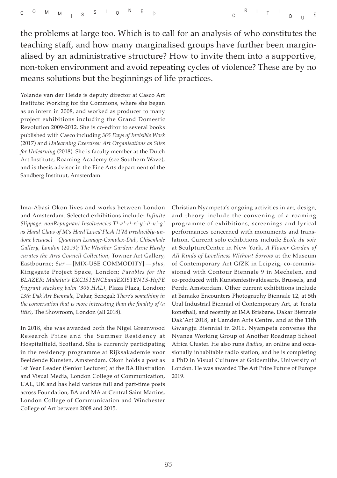the problems at large too. Which is to call for an analysis of who constitutes the teaching staff, and how many marginalised groups have further been marginalised by an administrative structure? How to invite them into a supportive, non-token environment and avoid repeating cycles of violence? These are by no means solutions but the beginnings of life practices.

Yolande van der Heide is deputy director at Casco Art Institute: Working for the Commons, where she began as an intern in 2008, and worked as producer to many project exhibitions including the Grand Domestic Revolution 2009-2012. She is co-editor to several books published with Casco including *365 Days of Invisible Work* (2017) and *Unlearning Exercises: Art Organisations as Sites for Unlearning* (2018). She is faculty member at the Dutch Art Institute, Roaming Academy (see Southern Wave); and is thesis advisor in the Fine Arts department of the Sandberg Instituut, Amsterdam.

Ima-Abasi Okon lives and works between London and Amsterdam. Selected exhibitions include: *Infinite Slippage: nonRepugnant Insolvencies T!-a!-r!-r!-y!-i!-n!-g! as Hand Claps of M's Hard'Loved'Flesh [I'M irreducibly-undone because] – Quantum Leanage-Complex-Dub, Chisenhale Gallery, London* (2019)*; The Weather Garden: Anne Hardy curates the Arts Council Collection*, Towner Art Gallery, Eastbourne; *Sur* — [MIX-USE COMMODITY] — *plus,*  Kingsgate Project Space, London; *Parables for the BLAZER: Mahalia's EXCISTENCEandEXISTENTS-HyPE fragrant stacking balm (306.HAL),* Plaza Plaza, London; *13th Dak'Art Biennale*, Dakar, Senegal; *There's something in the conversation that is more interesting than the finality of (a title),* The Showroom, London (all 2018).

In 2018, she was awarded both the Nigel Greenwood Research Prize and the Summer Residency at Hospitalfield, Scotland. She is currently participating in the residency programme at Rijksakademie voor Beeldende Kunsten, Amsterdam. Okon holds a post as 1st Year Leader (Senior Lecturer) at the BA Illustration and Visual Media, London College of Communication, UAL, UK and has held various full and part-time posts across Foundation, BA and MA at Central Saint Martins, London College of Communication and Winchester College of Art between 2008 and 2015.

Christian Nyampeta's ongoing activities in art, design, and theory include the convening of a roaming programme of exhibitions, screenings and lyrical performances concerned with monuments and translation. Current solo exhibitions include *École du soir* at SculptureCenter in New York, *A Flower Garden of All Kinds of Loveliness Without Sorrow* at the Museum of Contemporary Art GfZK in Leipzig, co-commissioned with Contour Biennale 9 in Mechelen, and co-produced with Kunstenfestivaldesarts, Brussels, and Perdu Amsterdam. Other current exhibitions include at Bamako Encounters Photography Biennale 12, at 5th Ural Industrial Biennial of Contemporary Art, at Tensta konsthall, and recently at IMA Brisbane, Dakar Biennale Dak'Art 2018, at Camden Arts Centre, and at the 11th Gwangju Biennial in 2016. Nyampeta convenes the Nyanza Working Group of Another Roadmap School Africa Cluster. He also runs *Radius*, an online and occasionally inhabitable radio station, and he is completing a PhD in Visual Cultures at Goldsmiths, University of London. He was awarded The Art Prize Future of Europe 2019.